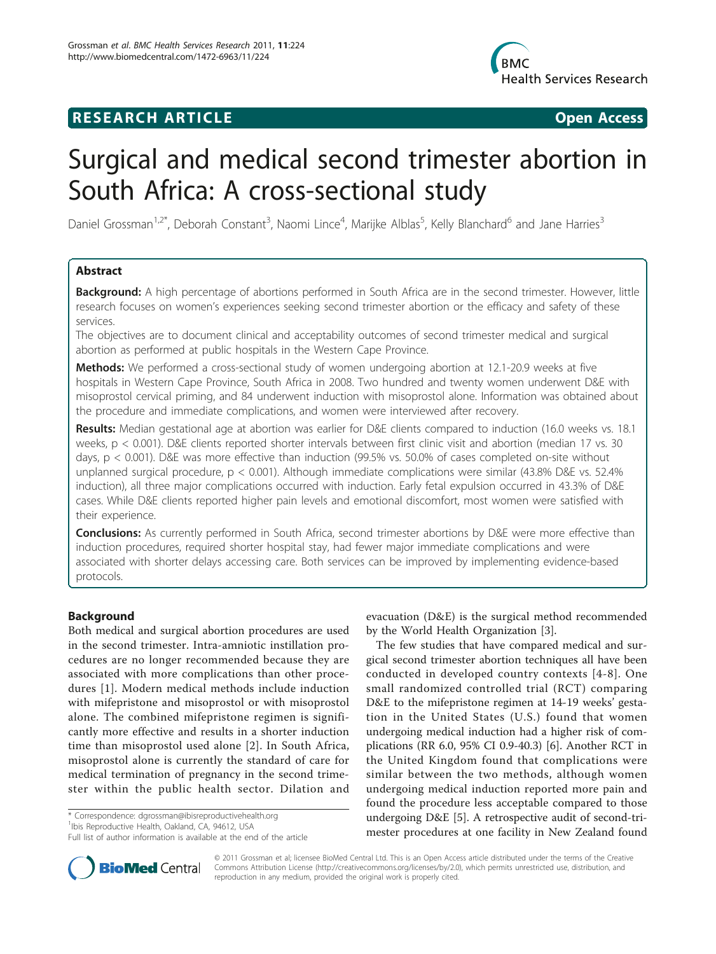# **RESEARCH ARTICLE Example 20 and 20 and 20 and 20 and 20 and 20 and 20 and 20 and 20 and 20 and 20 and 20 and 20 and 20 and 20 and 20 and 20 and 20 and 20 and 20 and 20 and 20 and 20 and 20 and 20 and 20 and 20 and 20 an**



# Surgical and medical second trimester abortion in South Africa: A cross-sectional study

Daniel Grossman<sup>1,2\*</sup>, Deborah Constant<sup>3</sup>, Naomi Lince<sup>4</sup>, Marijke Alblas<sup>5</sup>, Kelly Blanchard<sup>6</sup> and Jane Harries<sup>3</sup>

# Abstract

Background: A high percentage of abortions performed in South Africa are in the second trimester. However, little research focuses on women's experiences seeking second trimester abortion or the efficacy and safety of these services.

The objectives are to document clinical and acceptability outcomes of second trimester medical and surgical abortion as performed at public hospitals in the Western Cape Province.

Methods: We performed a cross-sectional study of women undergoing abortion at 12.1-20.9 weeks at five hospitals in Western Cape Province, South Africa in 2008. Two hundred and twenty women underwent D&E with misoprostol cervical priming, and 84 underwent induction with misoprostol alone. Information was obtained about the procedure and immediate complications, and women were interviewed after recovery.

Results: Median gestational age at abortion was earlier for D&E clients compared to induction (16.0 weeks vs. 18.1 weeks, p < 0.001). D&E clients reported shorter intervals between first clinic visit and abortion (median 17 vs. 30 days, p < 0.001). D&E was more effective than induction (99.5% vs. 50.0% of cases completed on-site without unplanned surgical procedure, p < 0.001). Although immediate complications were similar (43.8% D&E vs. 52.4% induction), all three major complications occurred with induction. Early fetal expulsion occurred in 43.3% of D&E cases. While D&E clients reported higher pain levels and emotional discomfort, most women were satisfied with their experience.

Conclusions: As currently performed in South Africa, second trimester abortions by D&E were more effective than induction procedures, required shorter hospital stay, had fewer major immediate complications and were associated with shorter delays accessing care. Both services can be improved by implementing evidence-based protocols.

# Background

Both medical and surgical abortion procedures are used in the second trimester. Intra-amniotic instillation procedures are no longer recommended because they are associated with more complications than other procedures [[1](#page-7-0)]. Modern medical methods include induction with mifepristone and misoprostol or with misoprostol alone. The combined mifepristone regimen is significantly more effective and results in a shorter induction time than misoprostol used alone [[2\]](#page-7-0). In South Africa, misoprostol alone is currently the standard of care for medical termination of pregnancy in the second trimester within the public health sector. Dilation and

\* Correspondence: [dgrossman@ibisreproductivehealth.org](mailto:dgrossman@ibisreproductivehealth.org)

<sup>1</sup>Ibis Reproductive Health, Oakland, CA, 94612, USA



The few studies that have compared medical and surgical second trimester abortion techniques all have been conducted in developed country contexts [[4-](#page-7-0)[8\]](#page-8-0). One small randomized controlled trial (RCT) comparing D&E to the mifepristone regimen at 14-19 weeks' gestation in the United States (U.S.) found that women undergoing medical induction had a higher risk of complications (RR 6.0, 95% CI 0.9-40.3) [[6\]](#page-8-0). Another RCT in the United Kingdom found that complications were similar between the two methods, although women undergoing medical induction reported more pain and found the procedure less acceptable compared to those undergoing D&E [\[5](#page-8-0)]. A retrospective audit of second-trimester procedures at one facility in New Zealand found



© 2011 Grossman et al; licensee BioMed Central Ltd. This is an Open Access article distributed under the terms of the Creative Commons Attribution License [\(http://creativecommons.org/licenses/by/2.0](http://creativecommons.org/licenses/by/2.0)), which permits unrestricted use, distribution, and reproduction in any medium, provided the original work is properly cited.

Full list of author information is available at the end of the article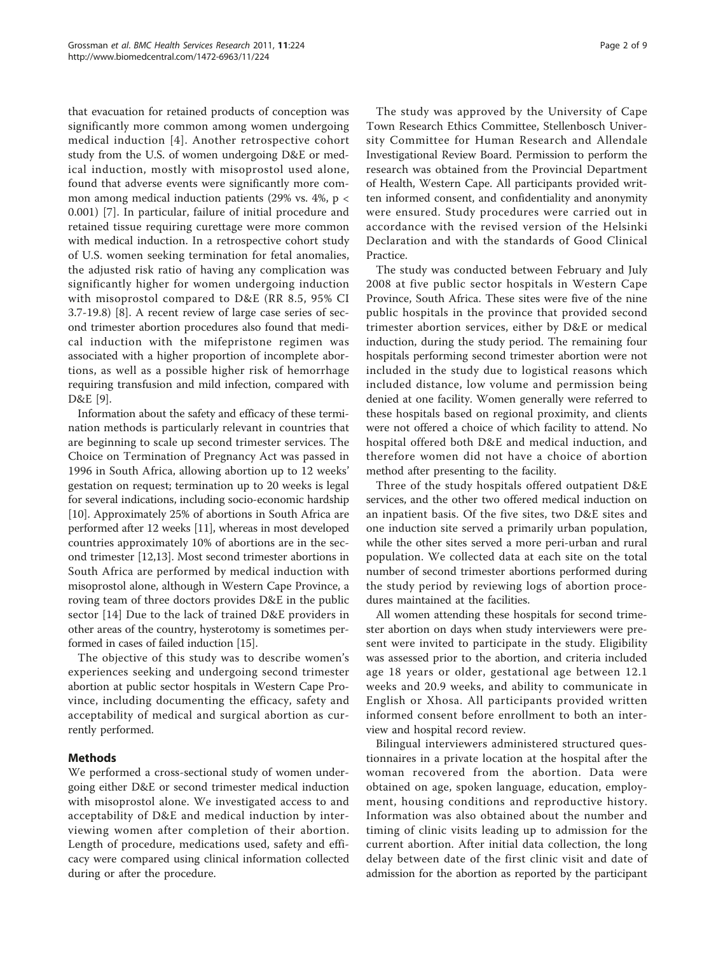that evacuation for retained products of conception was significantly more common among women undergoing medical induction [[4](#page-7-0)]. Another retrospective cohort study from the U.S. of women undergoing D&E or medical induction, mostly with misoprostol used alone, found that adverse events were significantly more common among medical induction patients (29% vs. 4%, p < 0.001) [[7\]](#page-8-0). In particular, failure of initial procedure and retained tissue requiring curettage were more common with medical induction. In a retrospective cohort study of U.S. women seeking termination for fetal anomalies, the adjusted risk ratio of having any complication was significantly higher for women undergoing induction with misoprostol compared to D&E (RR 8.5, 95% CI 3.7-19.8) [\[8\]](#page-8-0). A recent review of large case series of second trimester abortion procedures also found that medical induction with the mifepristone regimen was associated with a higher proportion of incomplete abortions, as well as a possible higher risk of hemorrhage requiring transfusion and mild infection, compared with D&E [[9\]](#page-8-0).

Information about the safety and efficacy of these termination methods is particularly relevant in countries that are beginning to scale up second trimester services. The Choice on Termination of Pregnancy Act was passed in 1996 in South Africa, allowing abortion up to 12 weeks' gestation on request; termination up to 20 weeks is legal for several indications, including socio-economic hardship [[10\]](#page-8-0). Approximately 25% of abortions in South Africa are performed after 12 weeks [\[11](#page-8-0)], whereas in most developed countries approximately 10% of abortions are in the second trimester [[12,13](#page-8-0)]. Most second trimester abortions in South Africa are performed by medical induction with misoprostol alone, although in Western Cape Province, a roving team of three doctors provides D&E in the public sector [\[14](#page-8-0)] Due to the lack of trained D&E providers in other areas of the country, hysterotomy is sometimes performed in cases of failed induction [[15](#page-8-0)].

The objective of this study was to describe women's experiences seeking and undergoing second trimester abortion at public sector hospitals in Western Cape Province, including documenting the efficacy, safety and acceptability of medical and surgical abortion as currently performed.

# Methods

We performed a cross-sectional study of women undergoing either D&E or second trimester medical induction with misoprostol alone. We investigated access to and acceptability of D&E and medical induction by interviewing women after completion of their abortion. Length of procedure, medications used, safety and efficacy were compared using clinical information collected during or after the procedure.

The study was approved by the University of Cape Town Research Ethics Committee, Stellenbosch University Committee for Human Research and Allendale Investigational Review Board. Permission to perform the research was obtained from the Provincial Department of Health, Western Cape. All participants provided written informed consent, and confidentiality and anonymity were ensured. Study procedures were carried out in accordance with the revised version of the Helsinki Declaration and with the standards of Good Clinical Practice.

The study was conducted between February and July 2008 at five public sector hospitals in Western Cape Province, South Africa. These sites were five of the nine public hospitals in the province that provided second trimester abortion services, either by D&E or medical induction, during the study period. The remaining four hospitals performing second trimester abortion were not included in the study due to logistical reasons which included distance, low volume and permission being denied at one facility. Women generally were referred to these hospitals based on regional proximity, and clients were not offered a choice of which facility to attend. No hospital offered both D&E and medical induction, and therefore women did not have a choice of abortion method after presenting to the facility.

Three of the study hospitals offered outpatient D&E services, and the other two offered medical induction on an inpatient basis. Of the five sites, two D&E sites and one induction site served a primarily urban population, while the other sites served a more peri-urban and rural population. We collected data at each site on the total number of second trimester abortions performed during the study period by reviewing logs of abortion procedures maintained at the facilities.

All women attending these hospitals for second trimester abortion on days when study interviewers were present were invited to participate in the study. Eligibility was assessed prior to the abortion, and criteria included age 18 years or older, gestational age between 12.1 weeks and 20.9 weeks, and ability to communicate in English or Xhosa. All participants provided written informed consent before enrollment to both an interview and hospital record review.

Bilingual interviewers administered structured questionnaires in a private location at the hospital after the woman recovered from the abortion. Data were obtained on age, spoken language, education, employment, housing conditions and reproductive history. Information was also obtained about the number and timing of clinic visits leading up to admission for the current abortion. After initial data collection, the long delay between date of the first clinic visit and date of admission for the abortion as reported by the participant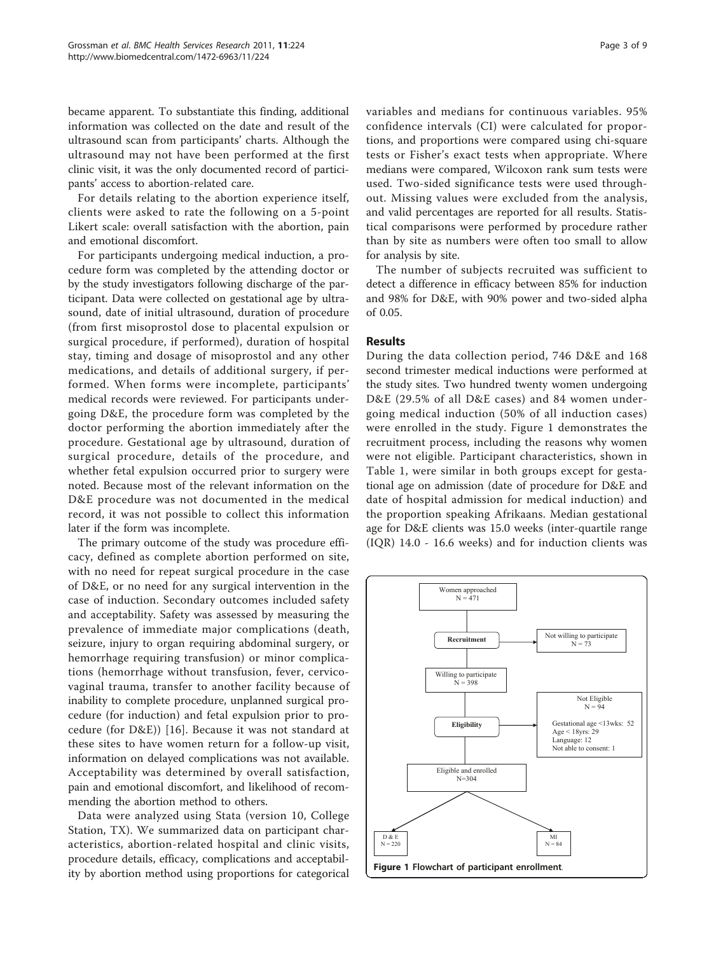became apparent. To substantiate this finding, additional information was collected on the date and result of the ultrasound scan from participants' charts. Although the ultrasound may not have been performed at the first clinic visit, it was the only documented record of participants' access to abortion-related care.

For details relating to the abortion experience itself, clients were asked to rate the following on a 5-point Likert scale: overall satisfaction with the abortion, pain and emotional discomfort.

For participants undergoing medical induction, a procedure form was completed by the attending doctor or by the study investigators following discharge of the participant. Data were collected on gestational age by ultrasound, date of initial ultrasound, duration of procedure (from first misoprostol dose to placental expulsion or surgical procedure, if performed), duration of hospital stay, timing and dosage of misoprostol and any other medications, and details of additional surgery, if performed. When forms were incomplete, participants' medical records were reviewed. For participants undergoing D&E, the procedure form was completed by the doctor performing the abortion immediately after the procedure. Gestational age by ultrasound, duration of surgical procedure, details of the procedure, and whether fetal expulsion occurred prior to surgery were noted. Because most of the relevant information on the D&E procedure was not documented in the medical record, it was not possible to collect this information later if the form was incomplete.

The primary outcome of the study was procedure efficacy, defined as complete abortion performed on site, with no need for repeat surgical procedure in the case of D&E, or no need for any surgical intervention in the case of induction. Secondary outcomes included safety and acceptability. Safety was assessed by measuring the prevalence of immediate major complications (death, seizure, injury to organ requiring abdominal surgery, or hemorrhage requiring transfusion) or minor complications (hemorrhage without transfusion, fever, cervicovaginal trauma, transfer to another facility because of inability to complete procedure, unplanned surgical procedure (for induction) and fetal expulsion prior to procedure (for D&E)) [[16](#page-8-0)]. Because it was not standard at these sites to have women return for a follow-up visit, information on delayed complications was not available. Acceptability was determined by overall satisfaction, pain and emotional discomfort, and likelihood of recommending the abortion method to others.

Data were analyzed using Stata (version 10, College Station, TX). We summarized data on participant characteristics, abortion-related hospital and clinic visits, procedure details, efficacy, complications and acceptability by abortion method using proportions for categorical variables and medians for continuous variables. 95% confidence intervals (CI) were calculated for proportions, and proportions were compared using chi-square tests or Fisher's exact tests when appropriate. Where medians were compared, Wilcoxon rank sum tests were used. Two-sided significance tests were used throughout. Missing values were excluded from the analysis, and valid percentages are reported for all results. Statistical comparisons were performed by procedure rather than by site as numbers were often too small to allow for analysis by site.

The number of subjects recruited was sufficient to detect a difference in efficacy between 85% for induction and 98% for D&E, with 90% power and two-sided alpha of 0.05.

# Results

During the data collection period, 746 D&E and 168 second trimester medical inductions were performed at the study sites. Two hundred twenty women undergoing D&E (29.5% of all D&E cases) and 84 women undergoing medical induction (50% of all induction cases) were enrolled in the study. Figure 1 demonstrates the recruitment process, including the reasons why women were not eligible. Participant characteristics, shown in Table [1](#page-3-0), were similar in both groups except for gestational age on admission (date of procedure for D&E and date of hospital admission for medical induction) and the proportion speaking Afrikaans. Median gestational age for D&E clients was 15.0 weeks (inter-quartile range (IQR) 14.0 - 16.6 weeks) and for induction clients was

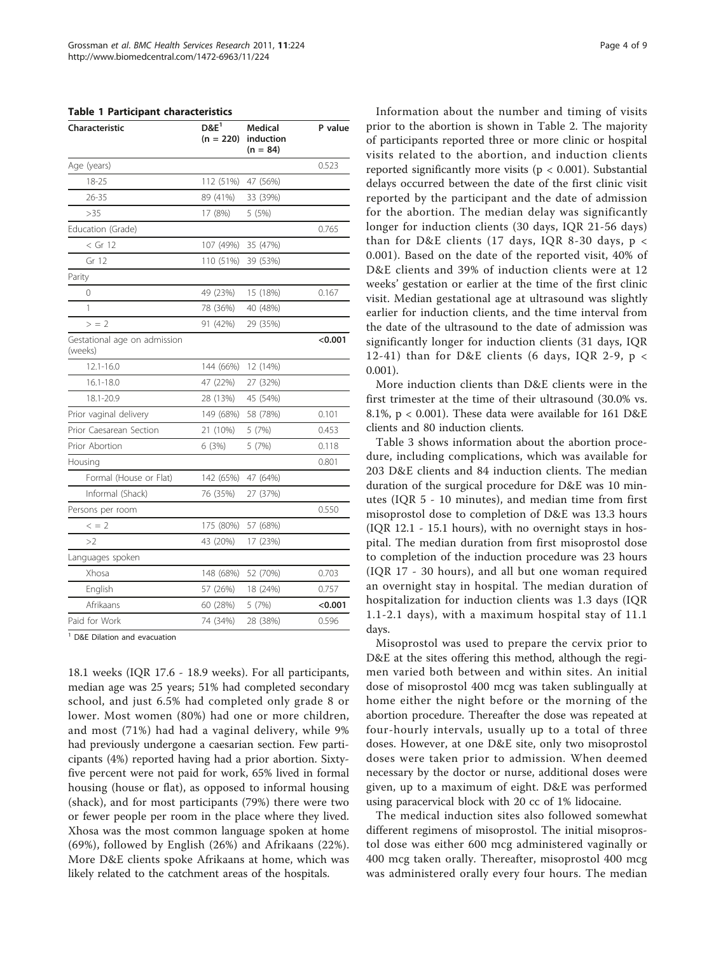<span id="page-3-0"></span>

| <b>Table 1 Participant characteristics</b> |  |
|--------------------------------------------|--|
|--------------------------------------------|--|

| <b>Characteristic</b>                   | $D\&E^1$<br>$(n = 220)$ | Medical<br>induction<br>$(n = 84)$ | P value |
|-----------------------------------------|-------------------------|------------------------------------|---------|
| Age (years)                             |                         |                                    | 0.523   |
| 18-25                                   | 112 (51%)               | 47 (56%)                           |         |
| $26 - 35$                               | 89 (41%)                | 33 (39%)                           |         |
| >35                                     | 17 (8%)                 | 5 (5%)                             |         |
| Education (Grade)                       |                         |                                    | 0.765   |
| $<$ Gr 12                               | 107 (49%)               | 35 (47%)                           |         |
| Gr 12                                   | 110 (51%)               | 39 (53%)                           |         |
| Parity                                  |                         |                                    |         |
| 0                                       | 49 (23%)                | 15 (18%)                           | 0.167   |
| 1                                       | 78 (36%)                | 40 (48%)                           |         |
| > 2                                     | 91 (42%)                | 29 (35%)                           |         |
| Gestational age on admission<br>(weeks) |                         |                                    | <0.001  |
| $12.1 - 16.0$                           | 144 (66%)               | 12 (14%)                           |         |
| $16.1 - 18.0$                           | 47 (22%)                | 27 (32%)                           |         |
| 18.1-20.9                               | 28 (13%)                | 45 (54%)                           |         |
| Prior vaginal delivery                  | 149 (68%)               | 58 (78%)                           | 0.101   |
| Prior Caesarean Section                 | 21 (10%)                | 5 (7%)                             | 0.453   |
| Prior Abortion                          | 6(3%)                   | 5 (7%)                             | 0.118   |
| Housing                                 |                         |                                    | 0.801   |
| Formal (House or Flat)                  | 142 (65%)               | 47 (64%)                           |         |
| Informal (Shack)                        | 76 (35%)                | 27 (37%)                           |         |
| Persons per room                        |                         |                                    | 0.550   |
| $\leq$ = 2                              | 175 (80%)               | 57 (68%)                           |         |
| >2                                      | 43 (20%)                | 17 (23%)                           |         |
| Languages spoken                        |                         |                                    |         |
| Xhosa                                   | 148 (68%)               | 52 (70%)                           | 0.703   |
| English                                 | 57 (26%)                | 18 (24%)                           | 0.757   |
| Afrikaans                               | 60 (28%)                | 5 (7%)                             | < 0.001 |
| Paid for Work                           | 74 (34%)                | 28 (38%)                           | 0.596   |
|                                         |                         |                                    |         |

<sup>1</sup> D&E Dilation and evacuation

18.1 weeks (IQR 17.6 - 18.9 weeks). For all participants, median age was 25 years; 51% had completed secondary school, and just 6.5% had completed only grade 8 or lower. Most women (80%) had one or more children, and most (71%) had had a vaginal delivery, while 9% had previously undergone a caesarian section. Few participants (4%) reported having had a prior abortion. Sixtyfive percent were not paid for work, 65% lived in formal housing (house or flat), as opposed to informal housing (shack), and for most participants (79%) there were two or fewer people per room in the place where they lived. Xhosa was the most common language spoken at home (69%), followed by English (26%) and Afrikaans (22%). More D&E clients spoke Afrikaans at home, which was likely related to the catchment areas of the hospitals.

Information about the number and timing of visits prior to the abortion is shown in Table [2.](#page-4-0) The majority of participants reported three or more clinic or hospital visits related to the abortion, and induction clients reported significantly more visits ( $p < 0.001$ ). Substantial delays occurred between the date of the first clinic visit reported by the participant and the date of admission for the abortion. The median delay was significantly longer for induction clients (30 days, IQR 21-56 days) than for D&E clients (17 days, IQR 8-30 days, p < 0.001). Based on the date of the reported visit, 40% of D&E clients and 39% of induction clients were at 12 weeks' gestation or earlier at the time of the first clinic visit. Median gestational age at ultrasound was slightly earlier for induction clients, and the time interval from the date of the ultrasound to the date of admission was significantly longer for induction clients (31 days, IQR 12-41) than for D&E clients (6 days, IQR 2-9,  $p <$ 0.001).

More induction clients than D&E clients were in the first trimester at the time of their ultrasound (30.0% vs. 8.1%, p < 0.001). These data were available for 161 D&E clients and 80 induction clients.

Table [3](#page-4-0) shows information about the abortion procedure, including complications, which was available for 203 D&E clients and 84 induction clients. The median duration of the surgical procedure for D&E was 10 minutes (IQR 5 - 10 minutes), and median time from first misoprostol dose to completion of D&E was 13.3 hours (IQR 12.1 - 15.1 hours), with no overnight stays in hospital. The median duration from first misoprostol dose to completion of the induction procedure was 23 hours (IQR 17 - 30 hours), and all but one woman required an overnight stay in hospital. The median duration of hospitalization for induction clients was 1.3 days (IQR 1.1-2.1 days), with a maximum hospital stay of 11.1 days.

Misoprostol was used to prepare the cervix prior to D&E at the sites offering this method, although the regimen varied both between and within sites. An initial dose of misoprostol 400 mcg was taken sublingually at home either the night before or the morning of the abortion procedure. Thereafter the dose was repeated at four-hourly intervals, usually up to a total of three doses. However, at one D&E site, only two misoprostol doses were taken prior to admission. When deemed necessary by the doctor or nurse, additional doses were given, up to a maximum of eight. D&E was performed using paracervical block with 20 cc of 1% lidocaine.

The medical induction sites also followed somewhat different regimens of misoprostol. The initial misoprostol dose was either 600 mcg administered vaginally or 400 mcg taken orally. Thereafter, misoprostol 400 mcg was administered orally every four hours. The median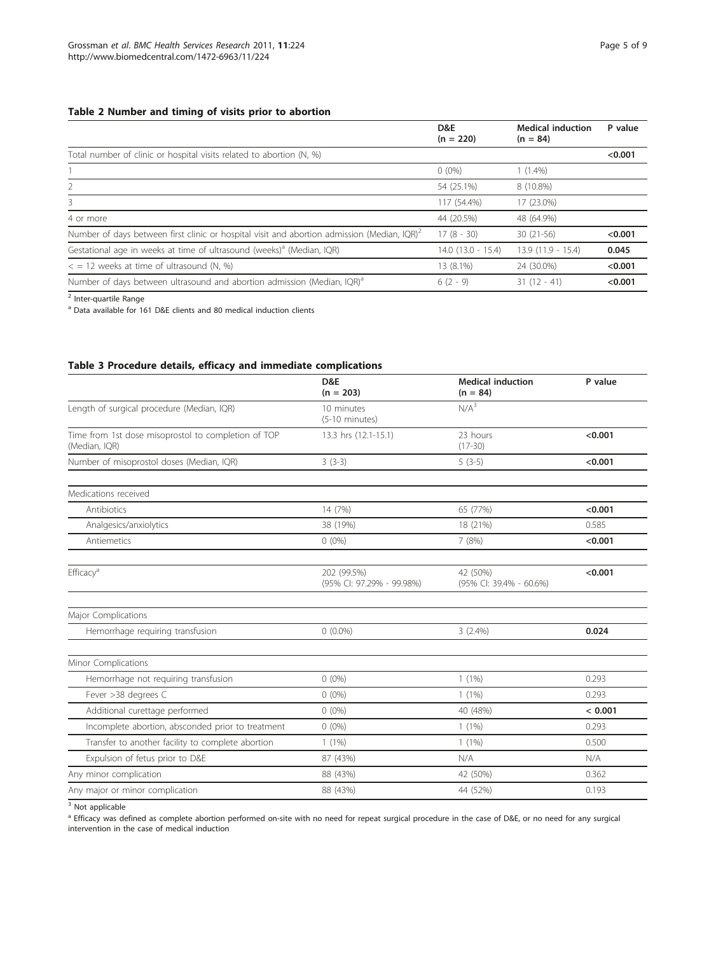### <span id="page-4-0"></span>Table 2 Number and timing of visits prior to abortion

|                                                                                                      | D&E<br>$(n = 220)$   | <b>Medical induction</b><br>$(n = 84)$ | P value |
|------------------------------------------------------------------------------------------------------|----------------------|----------------------------------------|---------|
| Total number of clinic or hospital visits related to abortion (N, %)                                 |                      |                                        | < 0.001 |
|                                                                                                      | $0(0\%)$             | $1(1.4\%)$                             |         |
| 2                                                                                                    | 54 (25.1%)           | 8 (10.8%)                              |         |
| 3                                                                                                    | 117 (54.4%)          | 17 (23.0%)                             |         |
| 4 or more                                                                                            | 44 (20.5%)           | 48 (64.9%)                             |         |
| Number of days between first clinic or hospital visit and abortion admission (Median, $\text{IQR}^2$ | $17(8 - 30)$         | $30(21-56)$                            | < 0.001 |
| Gestational age in weeks at time of ultrasound (weeks) <sup>a</sup> (Median, IQR)                    | $14.0$ (13.0 - 15.4) | 13.9 (11.9 - 15.4)                     | 0.045   |
| $\epsilon$ = 12 weeks at time of ultrasound (N, %)                                                   | 13 (8.1%)            | 24 (30.0%)                             | < 0.001 |
| Number of days between ultrasound and abortion admission (Median, IQR) <sup>a</sup>                  | $6(2 - 9)$           | $31(12 - 41)$                          | < 0.001 |

<sup>2</sup> Inter-quartile Range

<sup>a</sup> Data available for 161 D&E clients and 80 medical induction clients

# Table 3 Procedure details, efficacy and immediate complications

|                                                                      | D&E<br>$(n = 203)$                       | <b>Medical induction</b><br>$(n = 84)$ | P value |
|----------------------------------------------------------------------|------------------------------------------|----------------------------------------|---------|
| Length of surgical procedure (Median, IQR)                           | 10 minutes<br>$(5-10$ minutes)           | $N/A^3$                                |         |
| Time from 1st dose misoprostol to completion of TOP<br>(Median, IQR) | 13.3 hrs (12.1-15.1)                     | 23 hours<br>$(17-30)$                  | < 0.001 |
| Number of misoprostol doses (Median, IQR)                            | $3(3-3)$                                 | $5(3-5)$                               | < 0.001 |
| Medications received                                                 |                                          |                                        |         |
| Antibiotics                                                          | 14 (7%)                                  | 65 (77%)                               | < 0.001 |
| Analgesics/anxiolytics                                               | 38 (19%)                                 | 18 (21%)                               | 0.585   |
| Antiemetics                                                          | $0(0\%)$                                 | 7 (8%)                                 | < 0.001 |
| Efficacy <sup>a</sup>                                                | 202 (99.5%)<br>(95% CI: 97.29% - 99.98%) | 42 (50%)<br>(95% CI: 39.4% - 60.6%)    | < 0.001 |
| Major Complications                                                  |                                          |                                        |         |
| Hemorrhage requiring transfusion                                     | $0(0.0\%)$                               | $3(2.4\%)$                             | 0.024   |
| Minor Complications                                                  |                                          |                                        |         |
| Hemorrhage not requiring transfusion                                 | $0(0\%)$                                 | $1(1\%)$                               | 0.293   |
| Fever >38 degrees C                                                  | $0(0\%)$                                 | $1(1\%)$                               | 0.293   |
| Additional curettage performed                                       | $0(0\%)$                                 | 40 (48%)                               | < 0.001 |
| Incomplete abortion, absconded prior to treatment                    | $0(0\%)$                                 | $1(1\%)$                               | 0.293   |
| Transfer to another facility to complete abortion                    | $1(1\%)$                                 | $1(1\%)$                               | 0.500   |
| Expulsion of fetus prior to D&E                                      | 87 (43%)                                 | N/A                                    | N/A     |
| Any minor complication                                               | 88 (43%)                                 | 42 (50%)                               | 0.362   |
| Any major or minor complication                                      | 88 (43%)                                 | 44 (52%)                               | 0.193   |

 $\overline{\text{3 Not}}$  applicable

<sup>a</sup> Efficacy was defined as complete abortion performed on-site with no need for repeat surgical procedure in the case of D&E, or no need for any surgical intervention in the case of medical induction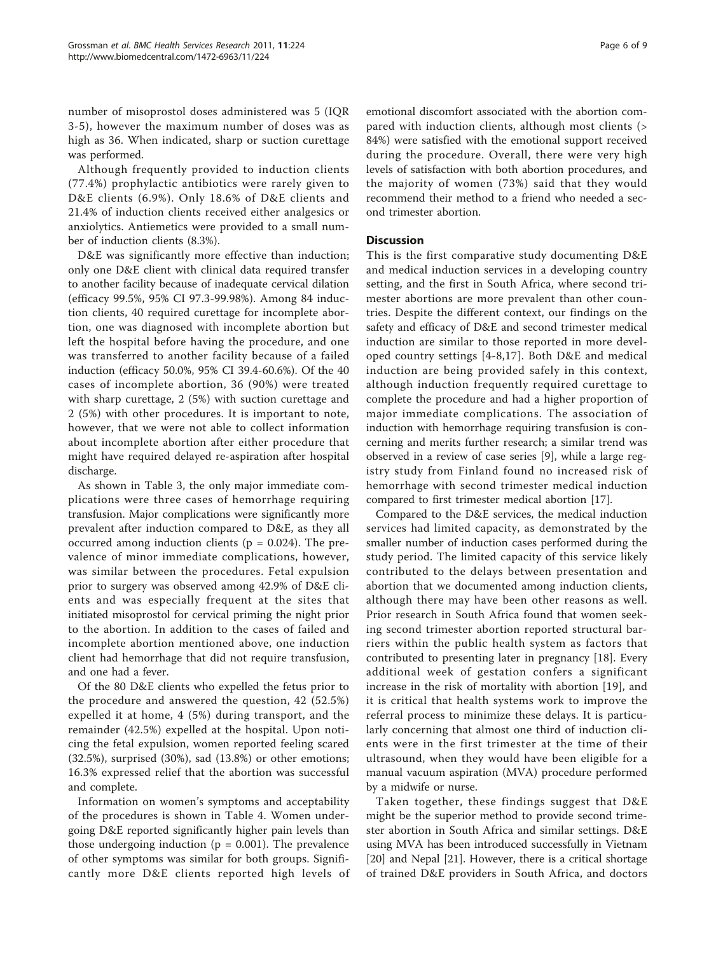number of misoprostol doses administered was 5 (IQR 3-5), however the maximum number of doses was as high as 36. When indicated, sharp or suction curettage was performed.

Although frequently provided to induction clients (77.4%) prophylactic antibiotics were rarely given to D&E clients (6.9%). Only 18.6% of D&E clients and 21.4% of induction clients received either analgesics or anxiolytics. Antiemetics were provided to a small number of induction clients (8.3%).

D&E was significantly more effective than induction; only one D&E client with clinical data required transfer to another facility because of inadequate cervical dilation (efficacy 99.5%, 95% CI 97.3-99.98%). Among 84 induction clients, 40 required curettage for incomplete abortion, one was diagnosed with incomplete abortion but left the hospital before having the procedure, and one was transferred to another facility because of a failed induction (efficacy 50.0%, 95% CI 39.4-60.6%). Of the 40 cases of incomplete abortion, 36 (90%) were treated with sharp curettage, 2 (5%) with suction curettage and 2 (5%) with other procedures. It is important to note, however, that we were not able to collect information about incomplete abortion after either procedure that might have required delayed re-aspiration after hospital discharge.

As shown in Table [3,](#page-4-0) the only major immediate complications were three cases of hemorrhage requiring transfusion. Major complications were significantly more prevalent after induction compared to D&E, as they all occurred among induction clients ( $p = 0.024$ ). The prevalence of minor immediate complications, however, was similar between the procedures. Fetal expulsion prior to surgery was observed among 42.9% of D&E clients and was especially frequent at the sites that initiated misoprostol for cervical priming the night prior to the abortion. In addition to the cases of failed and incomplete abortion mentioned above, one induction client had hemorrhage that did not require transfusion, and one had a fever.

Of the 80 D&E clients who expelled the fetus prior to the procedure and answered the question, 42 (52.5%) expelled it at home, 4 (5%) during transport, and the remainder (42.5%) expelled at the hospital. Upon noticing the fetal expulsion, women reported feeling scared (32.5%), surprised (30%), sad (13.8%) or other emotions; 16.3% expressed relief that the abortion was successful and complete.

Information on women's symptoms and acceptability of the procedures is shown in Table [4.](#page-6-0) Women undergoing D&E reported significantly higher pain levels than those undergoing induction ( $p = 0.001$ ). The prevalence of other symptoms was similar for both groups. Significantly more D&E clients reported high levels of Page 6 of 9

emotional discomfort associated with the abortion compared with induction clients, although most clients (> 84%) were satisfied with the emotional support received during the procedure. Overall, there were very high levels of satisfaction with both abortion procedures, and the majority of women (73%) said that they would recommend their method to a friend who needed a second trimester abortion.

# **Discussion**

This is the first comparative study documenting D&E and medical induction services in a developing country setting, and the first in South Africa, where second trimester abortions are more prevalent than other countries. Despite the different context, our findings on the safety and efficacy of D&E and second trimester medical induction are similar to those reported in more developed country settings [[4](#page-7-0)-[8,17](#page-8-0)]. Both D&E and medical induction are being provided safely in this context, although induction frequently required curettage to complete the procedure and had a higher proportion of major immediate complications. The association of induction with hemorrhage requiring transfusion is concerning and merits further research; a similar trend was observed in a review of case series [\[9](#page-8-0)], while a large registry study from Finland found no increased risk of hemorrhage with second trimester medical induction compared to first trimester medical abortion [[17](#page-8-0)].

Compared to the D&E services, the medical induction services had limited capacity, as demonstrated by the smaller number of induction cases performed during the study period. The limited capacity of this service likely contributed to the delays between presentation and abortion that we documented among induction clients, although there may have been other reasons as well. Prior research in South Africa found that women seeking second trimester abortion reported structural barriers within the public health system as factors that contributed to presenting later in pregnancy [\[18](#page-8-0)]. Every additional week of gestation confers a significant increase in the risk of mortality with abortion [[19\]](#page-8-0), and it is critical that health systems work to improve the referral process to minimize these delays. It is particularly concerning that almost one third of induction clients were in the first trimester at the time of their ultrasound, when they would have been eligible for a manual vacuum aspiration (MVA) procedure performed by a midwife or nurse.

Taken together, these findings suggest that D&E might be the superior method to provide second trimester abortion in South Africa and similar settings. D&E using MVA has been introduced successfully in Vietnam [[20\]](#page-8-0) and Nepal [\[21](#page-8-0)]. However, there is a critical shortage of trained D&E providers in South Africa, and doctors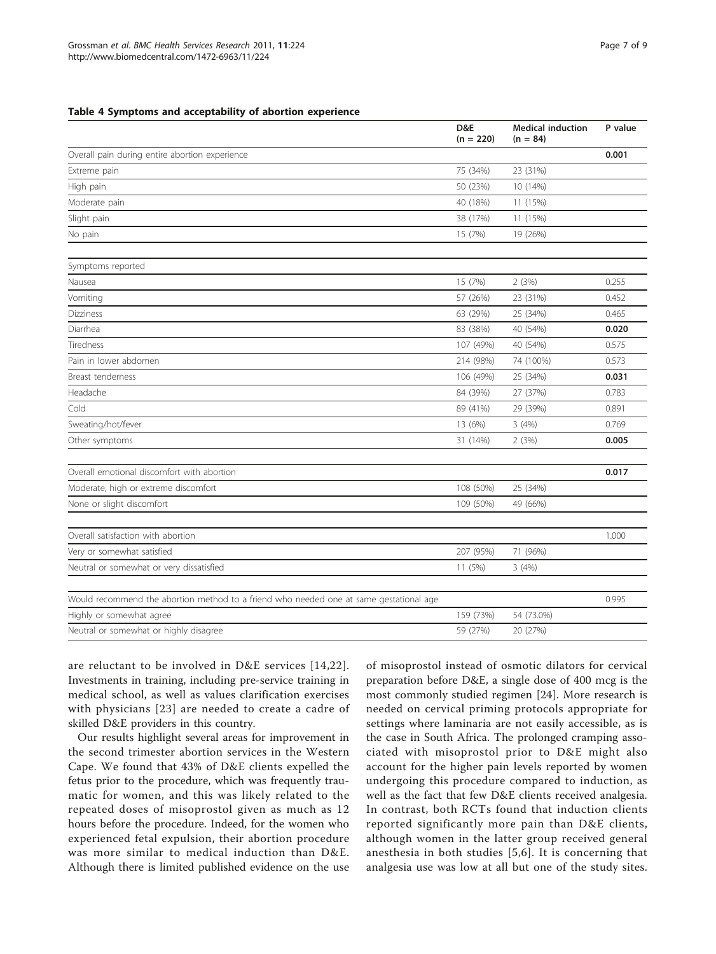#### <span id="page-6-0"></span>Table 4 Symptoms and acceptability of abortion experience

|                                                                                        | D&E<br>$(n = 220)$ | <b>Medical induction</b><br>$(n = 84)$ | P value |
|----------------------------------------------------------------------------------------|--------------------|----------------------------------------|---------|
| Overall pain during entire abortion experience                                         |                    |                                        | 0.001   |
| Extreme pain                                                                           | 75 (34%)           | 23 (31%)                               |         |
| High pain                                                                              | 50 (23%)           | 10 (14%)                               |         |
| Moderate pain                                                                          | 40 (18%)           | 11 (15%)                               |         |
| Slight pain                                                                            | 38 (17%)           | 11 (15%)                               |         |
| No pain                                                                                | 15 (7%)            | 19 (26%)                               |         |
| Symptoms reported                                                                      |                    |                                        |         |
| Nausea                                                                                 | 15 (7%)            | 2(3%)                                  | 0.255   |
| Vomiting                                                                               | 57 (26%)           | 23 (31%)                               | 0.452   |
| Dizziness                                                                              | 63 (29%)           | 25 (34%)                               | 0.465   |
| Diarrhea                                                                               | 83 (38%)           | 40 (54%)                               | 0.020   |
| <b>Tiredness</b>                                                                       | 107 (49%)          | 40 (54%)                               | 0.575   |
| Pain in lower abdomen                                                                  | 214 (98%)          | 74 (100%)                              | 0.573   |
| Breast tenderness                                                                      | 106 (49%)          | 25 (34%)                               | 0.031   |
| Headache                                                                               | 84 (39%)           | 27 (37%)                               | 0.783   |
| Cold                                                                                   | 89 (41%)           | 29 (39%)                               | 0.891   |
| Sweating/hot/fever                                                                     | 13 (6%)            | 3(4%)                                  | 0.769   |
| Other symptoms                                                                         | 31 (14%)           | 2(3%)                                  | 0.005   |
|                                                                                        |                    |                                        |         |
| Overall emotional discomfort with abortion                                             |                    |                                        | 0.017   |
| Moderate, high or extreme discomfort                                                   | 108 (50%)          | 25 (34%)                               |         |
| None or slight discomfort                                                              | 109 (50%)          | 49 (66%)                               |         |
| Overall satisfaction with abortion                                                     |                    |                                        | 1.000   |
| Very or somewhat satisfied                                                             | 207 (95%)          | 71 (96%)                               |         |
| Neutral or somewhat or very dissatisfied                                               | 11 (5%)            | 3(4%)                                  |         |
| Would recommend the abortion method to a friend who needed one at same gestational age |                    |                                        | 0.995   |
| Highly or somewhat agree                                                               | 159 (73%)          | 54 (73.0%)                             |         |
| Neutral or somewhat or highly disagree                                                 | 59 (27%)           | 20 (27%)                               |         |

are reluctant to be involved in D&E services [[14,22\]](#page-8-0). Investments in training, including pre-service training in medical school, as well as values clarification exercises with physicians [[23](#page-8-0)] are needed to create a cadre of skilled D&E providers in this country.

Our results highlight several areas for improvement in the second trimester abortion services in the Western Cape. We found that 43% of D&E clients expelled the fetus prior to the procedure, which was frequently traumatic for women, and this was likely related to the repeated doses of misoprostol given as much as 12 hours before the procedure. Indeed, for the women who experienced fetal expulsion, their abortion procedure was more similar to medical induction than D&E. Although there is limited published evidence on the use

of misoprostol instead of osmotic dilators for cervical preparation before D&E, a single dose of 400 mcg is the most commonly studied regimen [[24\]](#page-8-0). More research is needed on cervical priming protocols appropriate for settings where laminaria are not easily accessible, as is the case in South Africa. The prolonged cramping associated with misoprostol prior to D&E might also account for the higher pain levels reported by women undergoing this procedure compared to induction, as well as the fact that few D&E clients received analgesia. In contrast, both RCTs found that induction clients reported significantly more pain than D&E clients, although women in the latter group received general anesthesia in both studies [[5](#page-8-0),[6\]](#page-8-0). It is concerning that analgesia use was low at all but one of the study sites.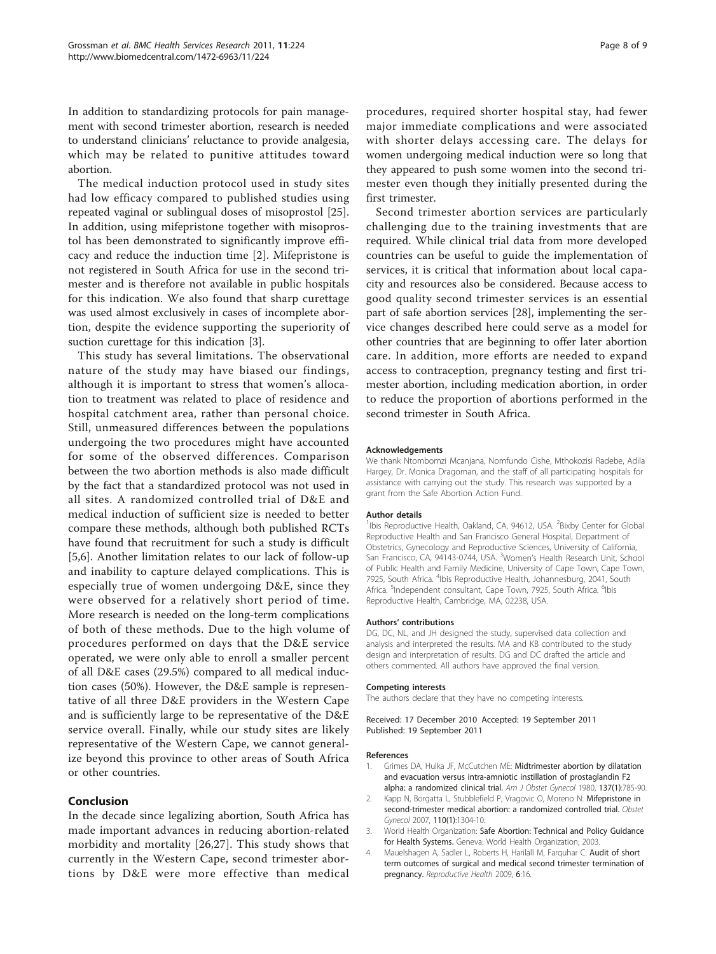<span id="page-7-0"></span>In addition to standardizing protocols for pain management with second trimester abortion, research is needed to understand clinicians' reluctance to provide analgesia, which may be related to punitive attitudes toward abortion.

The medical induction protocol used in study sites had low efficacy compared to published studies using repeated vaginal or sublingual doses of misoprostol [\[25](#page-8-0)]. In addition, using mifepristone together with misoprostol has been demonstrated to significantly improve efficacy and reduce the induction time [2]. Mifepristone is not registered in South Africa for use in the second trimester and is therefore not available in public hospitals for this indication. We also found that sharp curettage was used almost exclusively in cases of incomplete abortion, despite the evidence supporting the superiority of suction curettage for this indication [3].

This study has several limitations. The observational nature of the study may have biased our findings, although it is important to stress that women's allocation to treatment was related to place of residence and hospital catchment area, rather than personal choice. Still, unmeasured differences between the populations undergoing the two procedures might have accounted for some of the observed differences. Comparison between the two abortion methods is also made difficult by the fact that a standardized protocol was not used in all sites. A randomized controlled trial of D&E and medical induction of sufficient size is needed to better compare these methods, although both published RCTs have found that recruitment for such a study is difficult [[5,6\]](#page-8-0). Another limitation relates to our lack of follow-up and inability to capture delayed complications. This is especially true of women undergoing D&E, since they were observed for a relatively short period of time. More research is needed on the long-term complications of both of these methods. Due to the high volume of procedures performed on days that the D&E service operated, we were only able to enroll a smaller percent of all D&E cases (29.5%) compared to all medical induction cases (50%). However, the D&E sample is representative of all three D&E providers in the Western Cape and is sufficiently large to be representative of the D&E service overall. Finally, while our study sites are likely representative of the Western Cape, we cannot generalize beyond this province to other areas of South Africa or other countries.

## Conclusion

In the decade since legalizing abortion, South Africa has made important advances in reducing abortion-related morbidity and mortality [\[26,27\]](#page-8-0). This study shows that currently in the Western Cape, second trimester abortions by D&E were more effective than medical

procedures, required shorter hospital stay, had fewer major immediate complications and were associated with shorter delays accessing care. The delays for women undergoing medical induction were so long that they appeared to push some women into the second trimester even though they initially presented during the first trimester.

Second trimester abortion services are particularly challenging due to the training investments that are required. While clinical trial data from more developed countries can be useful to guide the implementation of services, it is critical that information about local capacity and resources also be considered. Because access to good quality second trimester services is an essential part of safe abortion services [\[28](#page-8-0)], implementing the service changes described here could serve as a model for other countries that are beginning to offer later abortion care. In addition, more efforts are needed to expand access to contraception, pregnancy testing and first trimester abortion, including medication abortion, in order to reduce the proportion of abortions performed in the second trimester in South Africa.

#### Acknowledgements

We thank Ntombomzi Mcanjana, Nomfundo Cishe, Mthokozisi Radebe, Adila Hargey, Dr. Monica Dragoman, and the staff of all participating hospitals for assistance with carrying out the study. This research was supported by a grant from the Safe Abortion Action Fund.

#### Author details

<sup>1</sup>Ibis Reproductive Health, Oakland, CA, 94612, USA. <sup>2</sup>Bixby Center for Global Reproductive Health and San Francisco General Hospital, Department of Obstetrics, Gynecology and Reproductive Sciences, University of California, San Francisco, CA, 94143-0744, USA. <sup>3</sup>Women's Health Research Unit, School of Public Health and Family Medicine, University of Cape Town, Cape Town, 7925, South Africa. <sup>4</sup>Ibis Reproductive Health, Johannesburg, 2041, South Africa. <sup>5</sup>Independent consultant, Cape Town, 7925, South Africa. <sup>6</sup>Ibis Reproductive Health, Cambridge, MA, 02238, USA.

#### Authors' contributions

DG, DC, NL, and JH designed the study, supervised data collection and analysis and interpreted the results. MA and KB contributed to the study design and interpretation of results. DG and DC drafted the article and others commented. All authors have approved the final version.

#### Competing interests

The authors declare that they have no competing interests.

Received: 17 December 2010 Accepted: 19 September 2011 Published: 19 September 2011

#### References

- 1. Grimes DA, Hulka JF, McCutchen ME: [Midtrimester abortion by dilatation](http://www.ncbi.nlm.nih.gov/pubmed/6996483?dopt=Abstract) [and evacuation versus intra-amniotic instillation of prostaglandin F2](http://www.ncbi.nlm.nih.gov/pubmed/6996483?dopt=Abstract) [alpha: a randomized clinical trial.](http://www.ncbi.nlm.nih.gov/pubmed/6996483?dopt=Abstract) Am J Obstet Gynecol 1980, 137(1):785-90.
- 2. Kapp N, Borgatta L, Stubblefield P, Vragovic O, Moreno N: [Mifepristone in](http://www.ncbi.nlm.nih.gov/pubmed/18055725?dopt=Abstract) [second-trimester medical abortion: a randomized controlled trial.](http://www.ncbi.nlm.nih.gov/pubmed/18055725?dopt=Abstract) Obstet Gynecol 2007, 110(1):1304-10.
- 3. World Health Organization: Safe Abortion: Technical and Policy Guidance for Health Systems. Geneva: World Health Organization; 2003.
- 4. Mauelshagen A, Sadler L, Roberts H, Harilall M, Farguhar C: [Audit of short](http://www.ncbi.nlm.nih.gov/pubmed/19788764?dopt=Abstract) [term outcomes of surgical and medical second trimester termination of](http://www.ncbi.nlm.nih.gov/pubmed/19788764?dopt=Abstract) [pregnancy.](http://www.ncbi.nlm.nih.gov/pubmed/19788764?dopt=Abstract) Reproductive Health 2009, 6:16.